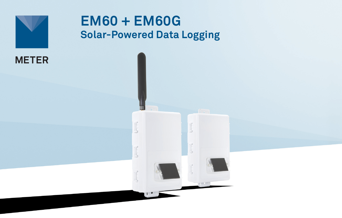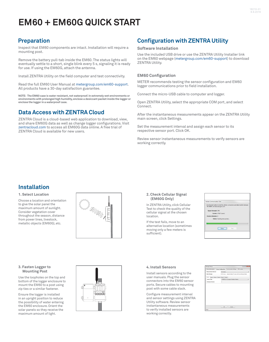# **EM60 + EM60G QUICK START**

# **Preparation**

Inspect that EM60 components are intact. Installation will require a mounting post.

Remove the battery pull-tab inside the EM60. The status lights will eventually settle to a short, single blink every 5 s, signaling it is ready for use. If using the EM60G, attach the antenna.

Install ZENTRA Utility on the field computer and test connectivity.

Read the full EM60 User Manual at [metergroup.com/em60-support](https://www.metergroup.com/em60-support). All products have a 30-day satisfaction guarantee.

**NOTE: The EM60 case is water resistant, not waterproof. In extremely wet environments or environments with prolonged high humidity, enclose a desiccant packet inside the logger or enclose the logger in a waterproof case.**

### **Data Access with ZENTRA Cloud**

ZENTRA Cloud is a cloud-based web application to download, view, and share EM60G data as well as change logger configurations. Visit [zentracloud.com](http://www.zentracloud.com) to access all EM60G data online. A free trial of ZENTRA Cloud is available for new users.

# **Configuration with ZENTRA Utility**

### **Software Installation**

Use the included USB drive or use the ZENTRA Utility Installer link on the EM60 webpage [\(metergroup.com/em60-support\)](https://www.metergroup.com/em60-support) to download ZENTRA Utility.

### **EM60 Configuration**

METER recommends testing the sensor configuration and EM60 logger communications prior to field installation.

Connect the micro-USB cable to computer and logger.

Open ZENTRA Utility, select the appropriate COM port, and select Connect.

After the instantaneous measurements appear on the ZENTRA Utility main screen, click Settings.

Set the measurement interval and assign each sensor to its respective sensor port. Click OK.

Review sensor instantaneous measurements to verify sensors are working correctly.

## **Installation**

#### **1. Select Location**

Choose a location and orientation to give the solar panel the maximum amount of sunlight. Consider vegetation cover throughout the season, distance from power lines, livestock, metallic objects (EM60G), etc.



#### **2. Check Cellular Signal (EM60G Only)**

In ZENTRA Utility, click Cellular Test to check the quality of the cellular signal at the chosen location.

If the test fails, move to an alternative location (sometimes moving only a few meters is sufficient).

| Cellular Communication Test                                                                                        |
|--------------------------------------------------------------------------------------------------------------------|
| Click the test button to test the cellular connection and data transfer between<br>'06-00998' and data.decagon.com |
| Signal Strength: 39%                                                                                               |
| Carrier: AT&T (roam)                                                                                               |
| <b>Packet Attempts: 0</b>                                                                                          |
| Status: Sending test packets                                                                                       |
|                                                                                                                    |
|                                                                                                                    |
| Close<br>Test                                                                                                      |
|                                                                                                                    |

#### **3. Fasten Logger to Mounting Post**

Use the loopholes on the top and bottom of the logger enclosure to mount the EM60 to a post using zip ties or a similar fastener.

Ensure the logger is installed in an upright position to reduce the possibility of water entering the EM60 enclosure. Orient the solar panels so they receive the maximum amount of light.



#### **4. Install Sensors**

Install sensors according to the user manuals. Plug the sensor connectors into the EM60 sensor ports. Secure cables to mounting post with some cable slack.

Configure measurement interval and sensor settings using ZENTRA Utility software. Review sensor instantaneous measurements to verify installed sensors are working correctly.

|                                       |            | $ 01 $ (2) $ 01 $                                                 |
|---------------------------------------|------------|-------------------------------------------------------------------|
| Device Information                    |            | Sensor Configuration Communication Settings<br>GPS Location       |
| <b>Measurement Interval</b>           | 15 minutes |                                                                   |
| Data Storage:                         |            | 0.1% in use. - Approximately 3.7 years until overwriting old data |
| Down 1<br>Pon2 Port3 Pon4 Port5 Pont6 |            |                                                                   |
| <b>Sensor Troe</b>                    |            | ATMOS 41 Compact Weather Station                                  |
| Firmwork Vension                      | ö          |                                                                   |
|                                       |            |                                                                   |
|                                       |            |                                                                   |